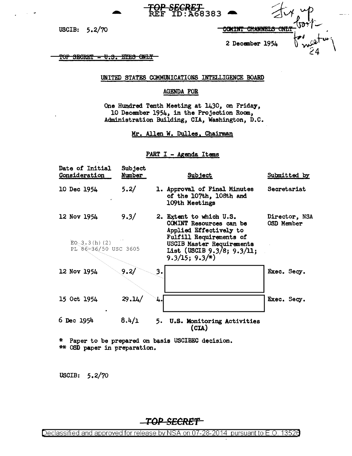| <u>UUTINI UTANNELO UNLI</u> |  |
|-----------------------------|--|

2 December 1954

TOP SECRET - U.S. EYES ONLY

USCIB:  $5.2/70$ 

UNITED STATES COMMUNICATIONS INTELLIGENCE BOARD

<del>SECRET</del><br>ID:A68383

## **AGENDA FOR**

One Hundred Tenth Meeting at 1430, on Friday, 10 December 1954, in the Projection Room, Administration Building, CIA, Washington, D.C.

Mr. Allen W. Dulles, Chairman

### PART I - Agenda Items

| Date of Initial<br>Consideration         | Subject<br>Number | <b>Subject</b>                                                                                                 | Submitted by                |
|------------------------------------------|-------------------|----------------------------------------------------------------------------------------------------------------|-----------------------------|
| 10 Dec 1954                              | 5.2/              | 1. Approval of Final Minutes<br>of the 107th, 108th and<br>109th Meetings                                      | Secretariat                 |
| 12 Nov 1954                              | 9.3/              | 2. Extent to which U.S.<br>COMINT Resources can be<br>Applied Effectively to<br><b>Fulfill Requirements of</b> | Director, NSA<br>OSD Member |
| $EO$ 3.3 (h) (2)<br>PL 86-36/50 USC 3605 |                   | USCIB Master Requirements<br>List (USCIB 9.3/8; 9.3/11;<br>$9.3/15$ ; $9.3/*$                                  |                             |
| 12 Nov 1954                              | 9.2/              | 3.                                                                                                             | Exec. Secy.                 |
| 15 Oct 1954                              | 29.14/            | 4.                                                                                                             | Exec. Secy.                 |
| 6 Dec 1954                               | 8.4/1             | 5. U.S. Monitoring Activities<br>(CIA)                                                                         |                             |

\* Paper to be prepared on basis USCIBEC decision. \*\* OSD paper in preparation.

USCIB: 5.2/70

TOP SECRET

Declassified and approved for release by NSA on 07-28-2014 pursuant to E.O. 13526